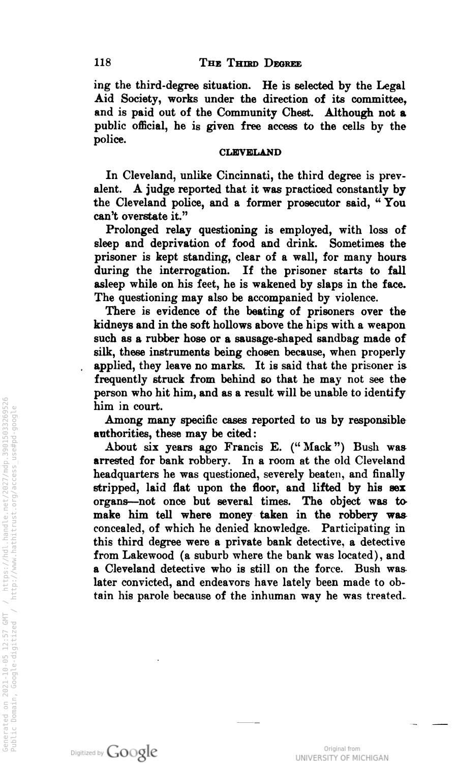ing the third-degree situation. He is selected by the Legal Aid Society, works under the direction of its committee, and is paid out of the Community Chest. Although not <sup>a</sup> public official, he is given free access to the cells by the police.

## **CLEVELAND**

In Cleveland, unlike Cincinnati, the third degree is prevalent. A judge reported that it was practiced constantly by the Cleveland police, and a former prosecutor said, "You can t overstate it.

Prolonged relay questioning is employed, with loss of sleep and deprivation of food and drink. Sometimes the prisoner is kept standing, clear of a wall, for many hours If the prisoner starts to fall during the interrogation. asleep while on his feet, he is wakened by slaps in the face. The questioning may also be accompanied by violence.

There is evidence of the beating of prisoners over the kidneys and in the soft hollows above the hips with a weapon such as arubber hose or asausage -shaped sandbag made of silk, these instruments being chosen because, when properly applied, they leave no marks. It is said that the prisoner is frequently struck from behind so that hemay not see the  $\mathop{\mathsf{person}}$  who hit him, and as a result will be unable to identify him in court .

Among many specific cases reported to us by responsible authorities, these may be cited:

About six years ago Francis E. ("Mack") Bush was  $\boldsymbol{\alpha}$ rrested for bank robbery. In a room at the old Cleveland headquarters he was questioned, severely beaten, and finally stripped, laid flat upon the floor, and lifted by his sex organs—not once but several times. I'ne object was to make him tell where money taken in the robbery was concealed, of which he denied knowledge. Participating in this third degree were a private bank detective, a detective rrom Lakewood (a suburb where the bank was located), and a Cleveland detective who is still on the force. Bush was later convicted, and endeavors have lately been made to obtain his parole because of the inhu<mark>man way he wa</mark>s treated.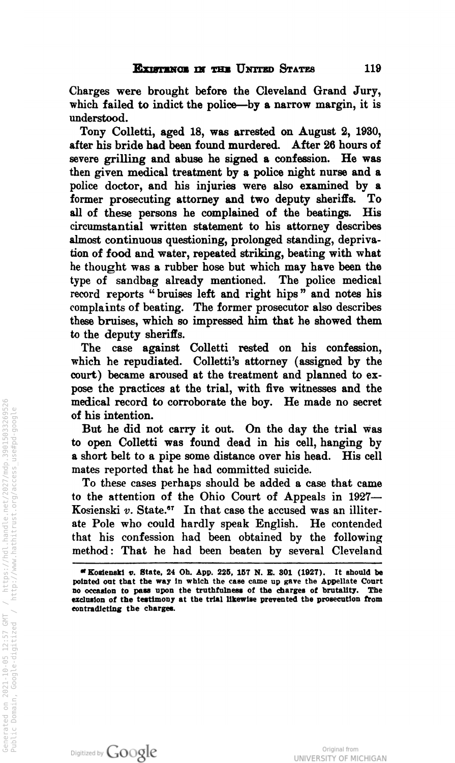Charges were brought before the Cleveland Grand Jury. which failed to indict the police—by a narrow margin, it is understood.

Tony Colletti, aged 18, was arrested on August 2, 1930, There his bride had been found murdered. After 26 hours of after his bride had been found murdered. severe grilling and abuse he signed a confession. He was then given medical treatment by <sup>a</sup> police night nurse and <sup>a</sup> police doctor, and his injuries were also examined by a former prosecuting attorney and two deputy sheriffs. To former prosecuting attorney and two deputy sheriffs. To all of these persons he complained of the beatings. circumstantial written statement to his attorney describes almost continuous questioning, prolonged standing, deprivation of food and water, repeated striking , beating with what he thought was a rubber hose but which may have been the type of sandbag already mentioned. The police medical type of sandbag already mentioned. record reports " bruises left and right hips " and notes his complaints of beating. The former prosecutor also describes these bruises, which so impressed him that he showed them to the deputy sheriffs.<br>The case against

case against Colletti rested on his confession, which he repudiated. Colletti's attorney (assigned by the court) became aroused at the treatment and planned to ex pose the practices at the trial, with five witnesses and the medical record to corroborate the boy. He made no secret of his intention .

But he did not carry it out. On the day the trial was to open Colletti was found dead in his cell, hanging by a short belt to a pipe some distance over his head. mates reported that he had committed suicide.

To these cases perhaps should be added <sup>a</sup> case that came to the attention of the Ohio Court of Appeals in 1927— Kosienski  $v$ . State.<sup>67</sup> In that case the accused was an illiterate Pole who could hardly speak English. He contended ate Pole who could hardly speak English. that his confession had been obtained by the following method: That he had been beaten by several Cleveland



 $\blacksquare$  Kosienski v. State, 24 Oh. App. 225, 157 N. E. 301 (1927). It should be pointed out that the way in which the case came up gave the Appellate Court<br>no occasion to pass upon the truthfulness of the charges of brutality. The no occasion to pass upon the truthfulness of the charges of brutality. exclusion of the testimony at the trial likewise prevented the prosecution from contradicting the charges.